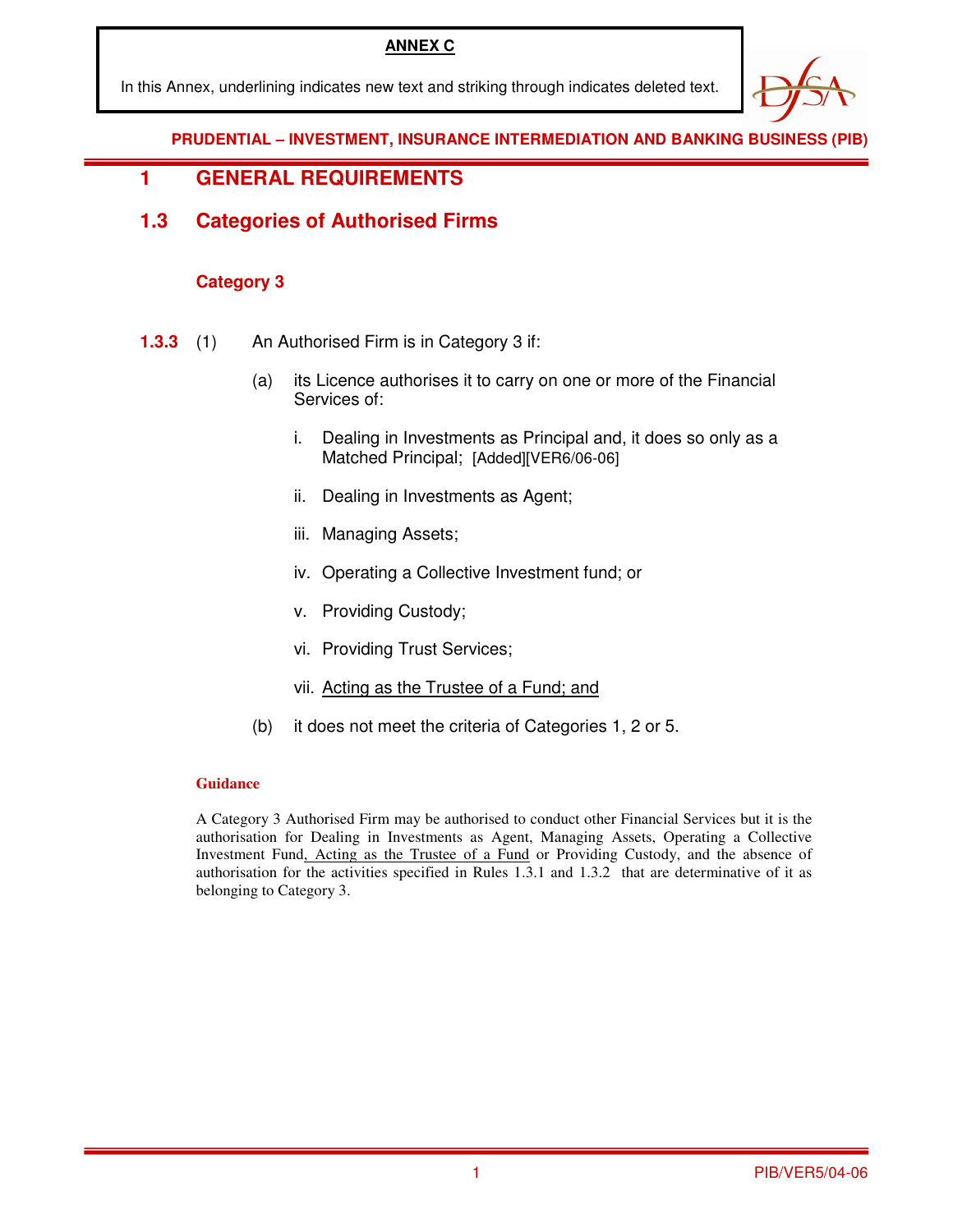#### **ANNEX C**

In this Annex, underlining indicates new text and striking through indicates deleted text.

**PRUDENTIAL – INVESTMENT, INSURANCE INTERMEDIATION AND BANKING BUSINESS (PIB)** 

## **1 GENERAL REQUIREMENTS**

### **1.3 Categories of Authorised Firms**

#### **Category 3**

- **1.3.3** (1) An Authorised Firm is in Category 3 if:
	- (a) its Licence authorises it to carry on one or more of the Financial Services of:
		- i. Dealing in Investments as Principal and, it does so only as a Matched Principal; [Added][VER6/06-06]
		- ii. Dealing in Investments as Agent;
		- iii. Managing Assets;
		- iv. Operating a Collective Investment fund; or
		- v. Providing Custody;
		- vi. Providing Trust Services;
		- vii. Acting as the Trustee of a Fund; and
	- (b) it does not meet the criteria of Categories 1, 2 or 5.

#### **Guidance**

A Category 3 Authorised Firm may be authorised to conduct other Financial Services but it is the authorisation for Dealing in Investments as Agent, Managing Assets, Operating a Collective Investment Fund, Acting as the Trustee of a Fund or Providing Custody, and the absence of authorisation for the activities specified in Rules 1.3.1 and 1.3.2 that are determinative of it as belonging to Category 3.